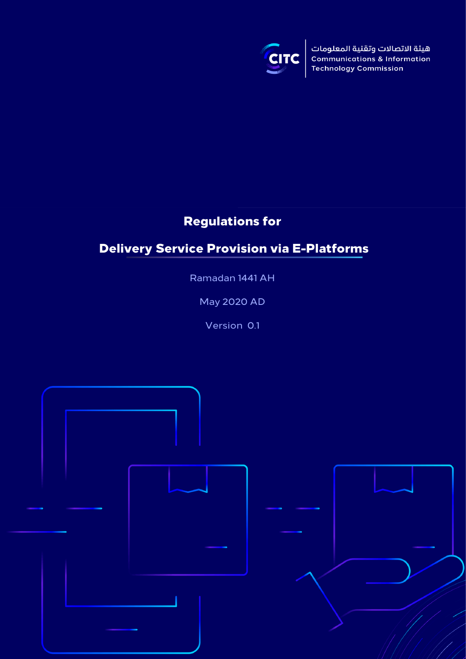

هيئة الاتصالات وتقنية المعلومات **Communications & Information Technology Commission** 

# Regulations for

# Delivery Service Provision via E-Platforms

Ramadan 1441 AH

May 2020 AD

Version 0.1

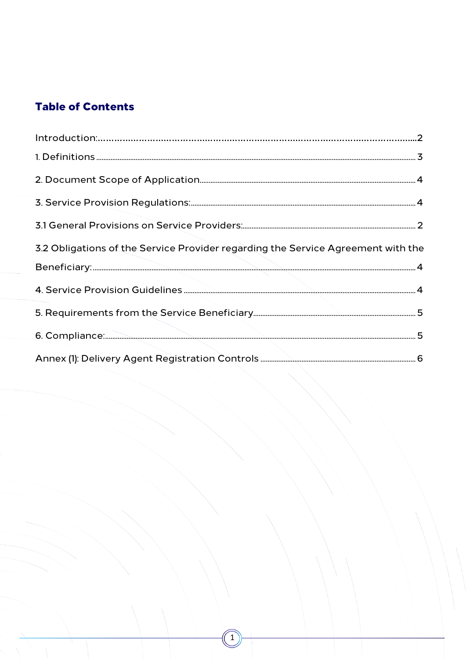# **Table of Contents**

<span id="page-1-0"></span>

| 3.2 Obligations of the Service Provider regarding the Service Agreement with the |  |
|----------------------------------------------------------------------------------|--|
|                                                                                  |  |
|                                                                                  |  |
|                                                                                  |  |
|                                                                                  |  |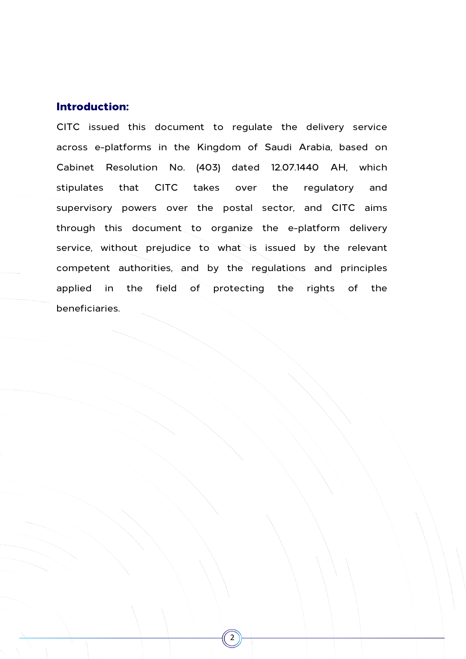#### Introduction:

CITC issued this document to regulate the delivery service across e-platforms in the Kingdom of Saudi Arabia, based on Cabinet Resolution No. (403) dated 12.07.1440 AH, which stipulates that CITC takes over the regulatory and supervisory powers over the postal sector, and CITC aims through this document to organize the e-platform delivery service, without prejudice to what is issued by the relevant competent authorities, and by the regulations and principles applied in the field of protecting the rights of the beneficiaries.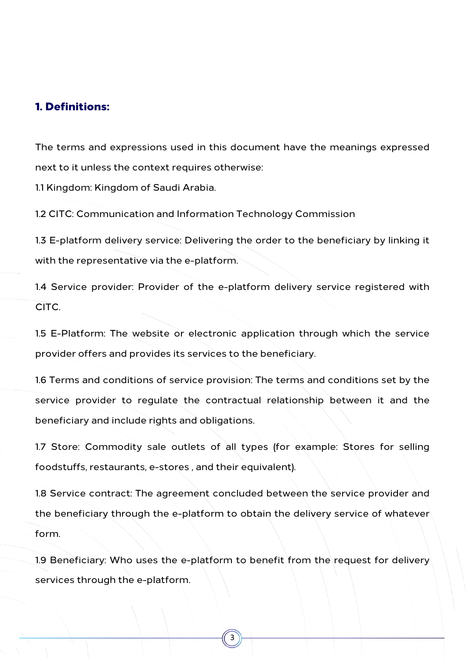### <span id="page-3-0"></span>1. Definitions:

The terms and expressions used in this document have the meanings expressed next to it unless the context requires otherwise:

1.1 Kingdom: Kingdom of Saudi Arabia.

1.2 CITC: Communication and Information Technology Commission

1.3 E-platform delivery service: Delivering the order to the beneficiary by linking it with the representative via the e-platform.

1.4 Service provider: Provider of the e-platform delivery service registered with CITC.

1.5 E-Platform: The website or electronic application through which the service provider offers and provides its services to the beneficiary.

1.6 Terms and conditions of service provision: The terms and conditions set by the service provider to regulate the contractual relationship between it and the beneficiary and include rights and obligations.

1.7 Store: Commodity sale outlets of all types (for example: Stores for selling foodstuffs, restaurants, e-stores , and their equivalent).

1.8 Service contract: The agreement concluded between the service provider and the beneficiary through the e-platform to obtain the delivery service of whatever form.

1.9 Beneficiary: Who uses the e-platform to benefit from the request for delivery services through the e-platform.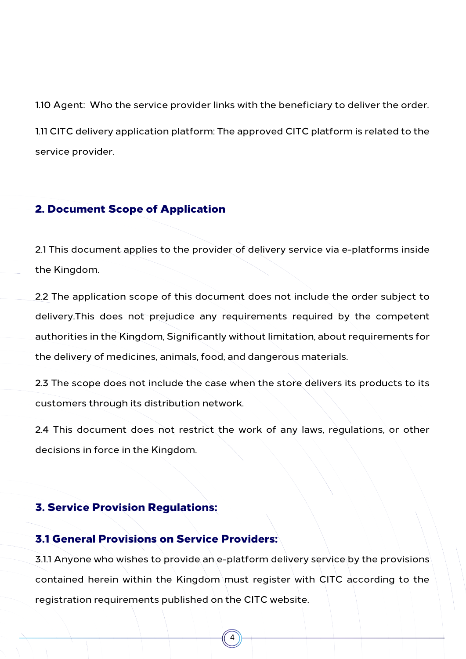1.10 Agent: Who the service provider links with the beneficiary to deliver the order. 1.11 CITC delivery application platform: The approved CITC platform is related to the service provider.

### <span id="page-4-0"></span>2. Document Scope of Application

2.1 This document applies to the provider of delivery service via e-platforms inside the Kingdom.

2.2 The application scope of this document does not include the order subject to delivery.This does not prejudice any requirements required by the competent authorities in the Kingdom, Significantly without limitation, about requirements for the delivery of medicines, animals, food, and dangerous materials.

2.3 The scope does not include the case when the store delivers its products to its customers through its distribution network.

2.4 This document does not restrict the work of any laws, regulations, or other decisions in force in the Kingdom.

## <span id="page-4-1"></span>3. Service Provision Regulations:

#### <span id="page-4-2"></span>3.1 General Provisions on Service Providers:

3.1.1 Anyone who wishes to provide an e-platform delivery service by the provisions contained herein within the Kingdom must register with CITC according to the registration requirements published on the CITC website.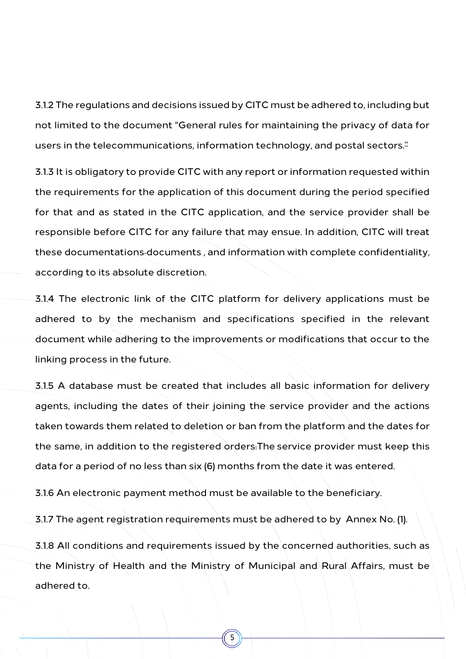3.1.2 The regulations and decisions issued by CITC must be adhered to, including but not limited to the document "General rules for maintaining the privacy of data for users in the telecommunications, information technology, and postal sectors.<sup>"</sup>

3.1.3 It is obligatory to provide CITC with any report or information requested within the requirements for the application of this document during the period specified for that and as stated in the CITC application, and the service provider shall be responsible before CITC for any failure that may ensue. In addition, CITC will treat these documentations documents , and information with complete confidentiality, according to its absolute discretion.

3.1.4 The electronic link of the CITC platform for delivery applications must be adhered to by the mechanism and specifications specified in the relevant document while adhering to the improvements or modifications that occur to the linking process in the future.

3.1.5 A database must be created that includes all basic information for delivery agents, including the dates of their joining the service provider and the actions taken towards them related to deletion or ban from the platform and the dates for the same, in addition to the registered orders.The service provider must keep this data for a period of no less than six (6) months from the date it was entered.

3.1.6 An electronic payment method must be available to the beneficiary.

3.1.7 The agent registration requirements must be adhered to by Annex No. (1).

3.1.8 All conditions and requirements issued by the concerned authorities, such as the Ministry of Health and the Ministry of Municipal and Rural Affairs, must be adhered to.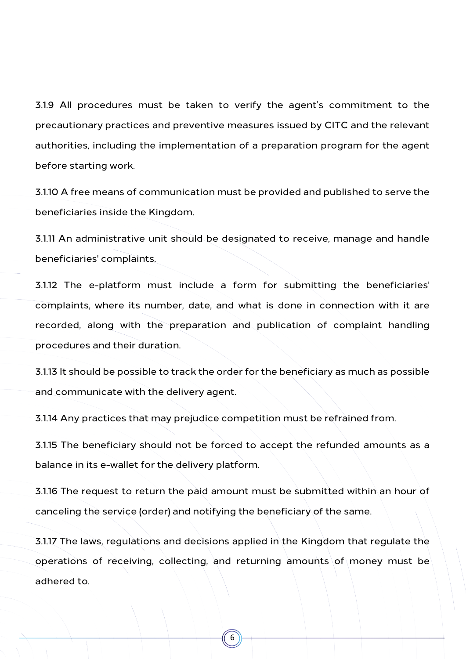3.1.9 All procedures must be taken to verify the agent's commitment to the precautionary practices and preventive measures issued by CITC and the relevant authorities, including the implementation of a preparation program for the agent before starting work.

3.1.10 A free means of communication must be provided and published to serve the beneficiaries inside the Kingdom.

3.1.11 An administrative unit should be designated to receive, manage and handle beneficiaries' complaints.

3.1.12 The e-platform must include a form for submitting the beneficiaries' complaints, where its number, date, and what is done in connection with it are recorded, along with the preparation and publication of complaint handling procedures and their duration.

3.1.13 It should be possible to track the order for the beneficiary as much as possible and communicate with the delivery agent.

3.1.14 Any practices that may prejudice competition must be refrained from.

3.1.15 The beneficiary should not be forced to accept the refunded amounts as a balance in its e-wallet for the delivery platform.

3.1.16 The request to return the paid amount must be submitted within an hour of canceling the service (order) and notifying the beneficiary of the same.

3.1.17 The laws, regulations and decisions applied in the Kingdom that regulate the operations of receiving, collecting, and returning amounts of money must be adhered to.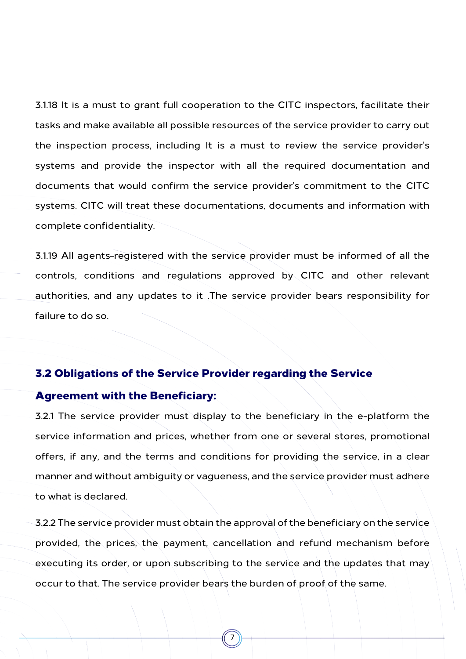3.1.18 It is a must to grant full cooperation to the CITC inspectors, facilitate their tasks and make available all possible resources of the service provider to carry out the inspection process, including It is a must to review the service provider's systems and provide the inspector with all the required documentation and documents that would confirm the service provider's commitment to the CITC systems. CITC will treat these documentations, documents and information with complete confidentiality.

3.1.19 All agents-registered with the service provider must be informed of all the controls, conditions and regulations approved by CITC and other relevant authorities, and any updates to it .The service provider bears responsibility for failure to do so.

#### <span id="page-7-0"></span>3.2 Obligations of the Service Provider regarding the Service

#### Agreement with the Beneficiary:

3.2.1 The service provider must display to the beneficiary in the e-platform the service information and prices, whether from one or several stores, promotional offers, if any, and the terms and conditions for providing the service, in a clear manner and without ambiguity or vagueness, and the service provider must adhere to what is declared.

3.2.2 The service provider must obtain the approval of the beneficiary on the service provided, the prices, the payment, cancellation and refund mechanism before executing its order, or upon subscribing to the service and the updates that may occur to that. The service provider bears the burden of proof of the same.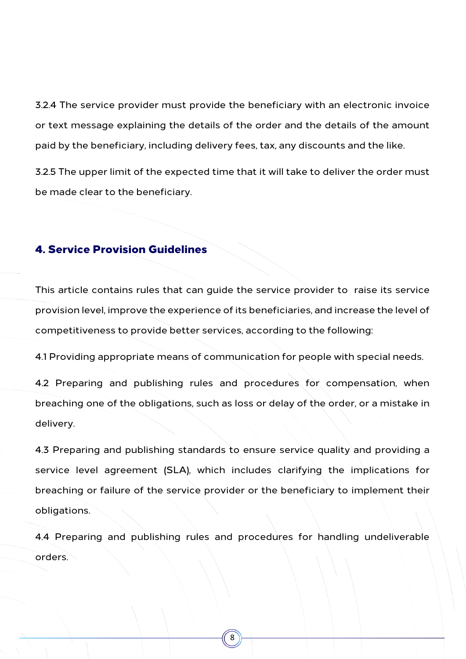3.2.4 The service provider must provide the beneficiary with an electronic invoice or text message explaining the details of the order and the details of the amount paid by the beneficiary, including delivery fees, tax, any discounts and the like.

3.2.5 The upper limit of the expected time that it will take to deliver the order must be made clear to the beneficiary.

### <span id="page-8-0"></span>4. Service Provision Guidelines

This article contains rules that can guide the service provider to raise its service provision level, improve the experience of its beneficiaries, and increase the level of competitiveness to provide better services, according to the following:

4.1 Providing appropriate means of communication for people with special needs.

4.2 Preparing and publishing rules and procedures for compensation, when breaching one of the obligations, such as loss or delay of the order, or a mistake in delivery.

4.3 Preparing and publishing standards to ensure service quality and providing a service level agreement (SLA), which includes clarifying the implications for breaching or failure of the service provider or the beneficiary to implement their obligations.

4.4 Preparing and publishing rules and procedures for handling undeliverable orders.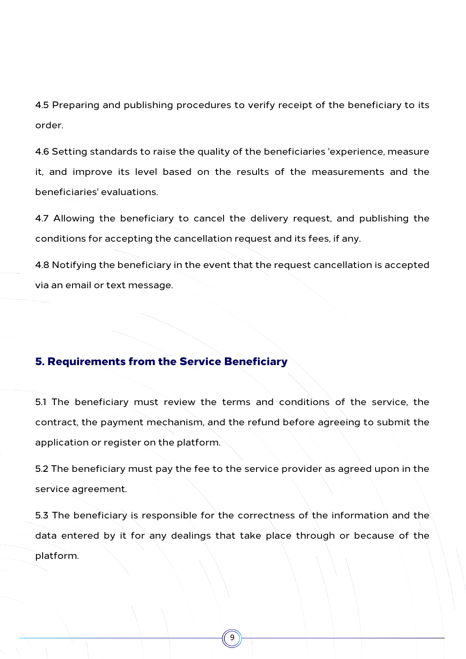4.5 Preparing and publishing procedures to verify receipt of the beneficiary to its order.

4.6 Setting standards to raise the quality of the beneficiaries 'experience, measure it, and improve its level based on the results of the measurements and the beneficiaries' evaluations.

4.7 Allowing the beneficiary to cancel the delivery request, and publishing the conditions for accepting the cancellation request and its fees, if any.

4.8 Notifying the beneficiary in the event that the request cancellation is accepted via an email or text message.

#### <span id="page-9-0"></span>5. Requirements from the Service Beneficiary

5.1 The beneficiary must review the terms and conditions of the service, the contract, the payment mechanism, and the refund before agreeing to submit the application or register on the platform.

5.2 The beneficiary must pay the fee to the service provider as agreed upon in the service agreement.

5.3 The beneficiary is responsible for the correctness of the information and the data entered by it for any dealings that take place through or because of the platform.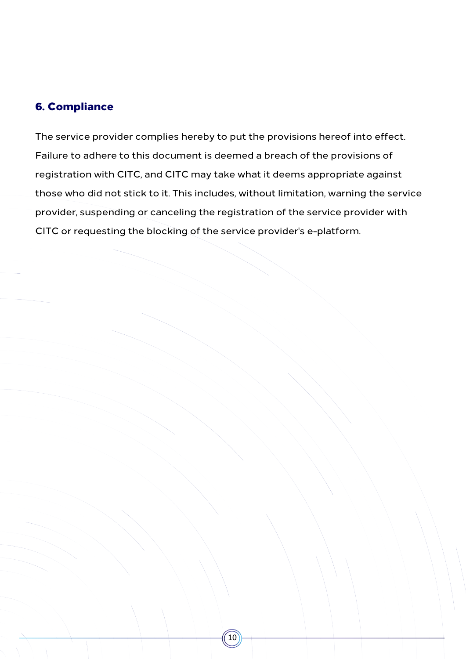### <span id="page-10-0"></span>6. Compliance

The service provider complies hereby to put the provisions hereof into effect. Failure to adhere to this document is deemed a breach of the provisions of registration with CITC, and CITC may take what it deems appropriate against those who did not stick to it. This includes, without limitation, warning the service provider, suspending or canceling the registration of the service provider with CITC or requesting the blocking of the service provider's e-platform.